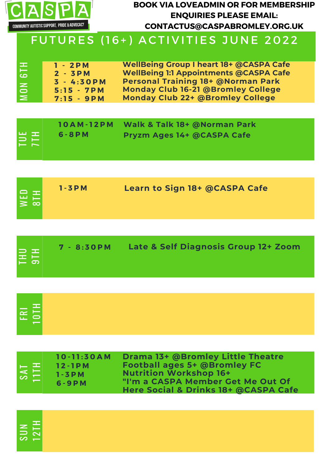

တ  $\Box$  $\,$   $\,$   $\overline{\phantom{0}}$  $\frac{\mathbf{N}}{\mathbf{r}}$  $\overline{\phantom{0}}$ H

#### **BOOK VIA LOVEADMIN OR FOR MEMBERSHIP ENQUIRIES PLEASE EMAIL: CONTACTUS@CASPABROMLEY.ORG.UK**

| <b>PERSONAL</b><br>$\overline{a}$<br>  ယ<br>$\mathbf{z}$<br>$\Box$<br>$\geq$ | $1 - 2PM$<br>$2 - 3PM$<br>$3 - 4:30PM$<br>$5:15 - 7PM$<br>$7:15 - 9PM$ | <b>WellBeing Group I heart 18+ @CASPA Cafe</b><br><b>WellBeing 1:1 Appointments @CASPA Cafe</b><br><b>Personal Training 18+ @Norman Park</b><br><b>Monday Club 16-21 @Bromley College</b><br><b>Monday Club 22+ @Bromley College</b> |
|------------------------------------------------------------------------------|------------------------------------------------------------------------|--------------------------------------------------------------------------------------------------------------------------------------------------------------------------------------------------------------------------------------|
|------------------------------------------------------------------------------|------------------------------------------------------------------------|--------------------------------------------------------------------------------------------------------------------------------------------------------------------------------------------------------------------------------------|

|                 |           | 10AM-12PM Walk & Talk 18+ @Norman Park |  |
|-----------------|-----------|----------------------------------------|--|
| EE <sub>1</sub> | 6 - 8 P M | <b>Pryzm Ages 14+ @CASPA Cafe</b>      |  |

| le ±l<br>∣≅ ∞ | $1 - 3 P M$ | Learn to Sign 18+ @CASPA Cafe |  |
|---------------|-------------|-------------------------------|--|
|---------------|-------------|-------------------------------|--|

| HID<br>9TH | 7 - 8:30 PM | Late & Self Diagnosis Group 12+ Zoom |
|------------|-------------|--------------------------------------|
|            |             |                                      |

| $E$ $E$ $E$ $E$ |  |  |
|-----------------|--|--|
|                 |  |  |

| — ≖.<br>$\frac{1111}{111}$ | $10 - 11:30AM$<br>$12 - 1$ PM<br>$1 - 3 P M$<br>$6 - 9$ PM | <b>Drama 13+ @Bromley Little Theatre</b><br><b>Football ages 5+ @Bromley FC</b><br><b>Nutrition Workshop 16+</b><br>"I'm a CASPA Member Get Me Out Of<br>Here Social & Drinks 18+ @CASPA Cafe |  |
|----------------------------|------------------------------------------------------------|-----------------------------------------------------------------------------------------------------------------------------------------------------------------------------------------------|--|
|----------------------------|------------------------------------------------------------|-----------------------------------------------------------------------------------------------------------------------------------------------------------------------------------------------|--|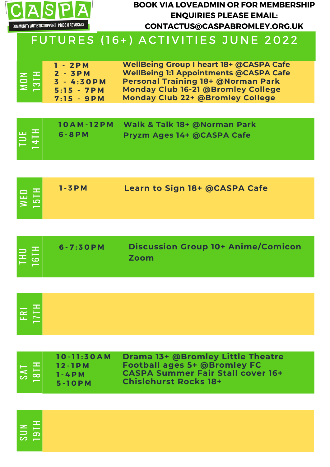

တ  $\Box$  $\,$   $\,$ 

<u> ၁</u>၂<br>–  $\overline{\phantom{a}}$ 

 $\overline{\phantom{0}}$ H

#### **BOOK VIA LOVEADMIN OR FOR MEMBERSHIP ENQUIRIES PLEASE EMAIL: CONTACTUS@CASPABROMLEY.ORG.UK**

| $\vert z \vert$<br>$\vert \Xi \vert$ | $1 - 2PM$<br>$2 - 3PM$<br>$3 - 4:30$ PM<br>$5:15 - 7PM$<br>$7:15 - 9PM$ | <b>WellBeing Group I heart 18+ @CASPA Cafe</b><br><b>WellBeing 1:1 Appointments @CASPA Cafe</b><br><b>Personal Training 18+ @Norman Park</b><br><b>Monday Club 16-21 @Bromley College</b><br><b>Monday Club 22+ @Bromley College</b> |
|--------------------------------------|-------------------------------------------------------------------------|--------------------------------------------------------------------------------------------------------------------------------------------------------------------------------------------------------------------------------------|
|--------------------------------------|-------------------------------------------------------------------------|--------------------------------------------------------------------------------------------------------------------------------------------------------------------------------------------------------------------------------------|

| $\frac{1}{4}$<br>$6 - 8 P M$ | 10AM-12PM Walk & Talk 18+ @Norman Park<br><b>Pryzm Ages 14+ @CASPA Cafe</b> |  |
|------------------------------|-----------------------------------------------------------------------------|--|
|------------------------------|-----------------------------------------------------------------------------|--|

| <b>EE</b> | $1 - 3 P M$ | <b>Learn to Sign 18+ @CASPA Cafe</b> |  |
|-----------|-------------|--------------------------------------|--|
|-----------|-------------|--------------------------------------|--|

| <b>Zoom</b> | $6 - 7:30P$ M<br>THU<br>16TH | <b>Discussion Group 10+ Anime/Comicon</b> |
|-------------|------------------------------|-------------------------------------------|
|-------------|------------------------------|-------------------------------------------|

| $ \vec{E} $ |  |  |  |
|-------------|--|--|--|
| $-$         |  |  |  |
|             |  |  |  |

| $10 - 11:30AM$<br>$12 - 1$ PM<br>$1 - 4$ PM | Drama 13+ @Bromley Little Theatre<br><b>Football ages 5+ @Bromley FC</b><br><b>CASPA Summer Fair Stall cover 16+</b><br><b>Chislehurst Rocks 18+</b> |
|---------------------------------------------|------------------------------------------------------------------------------------------------------------------------------------------------------|
|                                             |                                                                                                                                                      |
|                                             | $5 - 10$ PM                                                                                                                                          |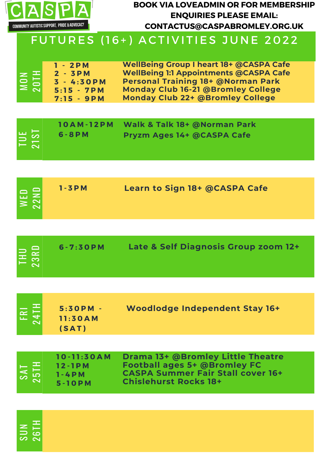

#### **BOOK VIA LOVEADMIN OR FOR MEMBERSHIP ENQUIRIES PLEASE EMAIL: CONTACTUS@CASPABROMLEY.ORG.UK**

| $1 - 2PM$<br>$2 - 3PM$<br>$\geq$ $\equiv$ $\mid$<br>$\frac{10}{2}$<br>$3 - 4:30PM$<br>$5:15 - 7PM$<br>$7:15 - 9PM$ | <b>WellBeing Group I heart 18+ @CASPA Cafe</b><br><b>WellBeing 1:1 Appointments @CASPA Cafe</b><br><b>Personal Training 18+ @Norman Park</b><br><b>Monday Club 16-21 @Bromley College</b><br>Monday Club 22+ @Bromley College |
|--------------------------------------------------------------------------------------------------------------------|-------------------------------------------------------------------------------------------------------------------------------------------------------------------------------------------------------------------------------|
|--------------------------------------------------------------------------------------------------------------------|-------------------------------------------------------------------------------------------------------------------------------------------------------------------------------------------------------------------------------|

|             |             | 10AM-12PM Walk & Talk 18+ @Norman Park |  |
|-------------|-------------|----------------------------------------|--|
| TUE<br>21ST | $6 - 8 P M$ | <b>Pryzm Ages 14+ @CASPA Cafe</b>      |  |
|             |             |                                        |  |
|             |             |                                        |  |

| Learn to Sign 18+ @CASPA Cafe<br>$1 - 3 P M$<br>$\sim$ $\Box$<br>I윤 불 |  |
|-----------------------------------------------------------------------|--|
|-----------------------------------------------------------------------|--|

| <b>STEP</b><br><b>FRI</b><br>24TI | $5:30PM -$<br>11:30AM<br>(SAT)                        | Woodlodge Independent Stay 16+                                                                                                                       |
|-----------------------------------|-------------------------------------------------------|------------------------------------------------------------------------------------------------------------------------------------------------------|
|                                   |                                                       |                                                                                                                                                      |
| <b>TYS</b><br>$\sim$              | $10 - 11:30AM$<br>$12 - 1P M$<br>$1 - 4$ PM<br>5-10PM | Drama 13+ @Bromley Little Theatre<br><b>Football ages 5+ @Bromley FC</b><br><b>CASPA Summer Fair Stall cover 16+</b><br><b>Chislehurst Rocks 18+</b> |

| ∽ |  |
|---|--|